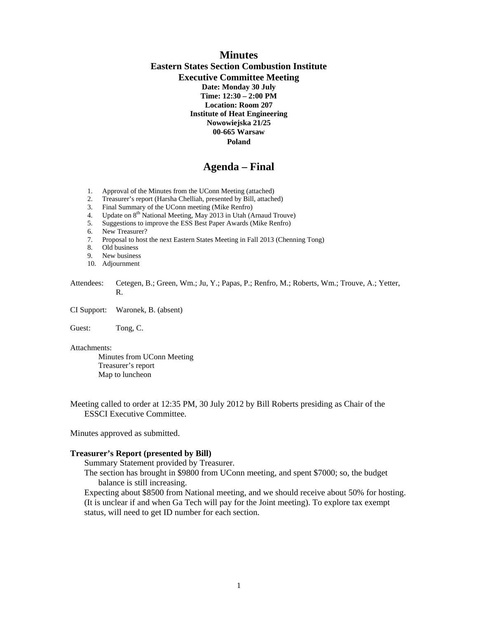# **Minutes Eastern States Section Combustion Institute Executive Committee Meeting Date: Monday 30 July Time: 12:30 – 2:00 PM Location: Room 207 Institute of Heat Engineering Nowowiejska 21/25 00-665 Warsaw Poland**

# **Agenda – Final**

- 1. Approval of the Minutes from the UConn Meeting (attached)<br>2. Treasurer's report (Harsha Chelliah, presented by Bill, attached
- 2. Treasurer's report (Harsha Chelliah, presented by Bill, attached)
- 3. Final Summary of the UConn meeting (Mike Renfro)
- 4. Update on  $8<sup>th</sup>$  National Meeting, May 2013 in Utah (Arnaud Trouve)
- 5. Suggestions to improve the ESS Best Paper Awards (Mike Renfro)<br>6. New Treasurer?
- 
- 6. New Treasurer?<br>7. Proposal to host 7. Proposal to host the next Eastern States Meeting in Fall 2013 (Chenning Tong)
- 8. Old business
- 9. New business
- 10. Adjournment
- Attendees: Cetegen, B.; Green, Wm.; Ju, Y.; Papas, P.; Renfro, M.; Roberts, Wm.; Trouve, A.; Yetter, R.
- CI Support: Waronek, B. (absent)

Guest: Tong, C.

Attachments:

 Minutes from UConn Meeting Treasurer's report Map to luncheon

Meeting called to order at 12:35 PM, 30 July 2012 by Bill Roberts presiding as Chair of the ESSCI Executive Committee.

Minutes approved as submitted.

#### **Treasurer's Report (presented by Bill)**

Summary Statement provided by Treasurer.

The section has brought in \$9800 from UConn meeting, and spent \$7000; so, the budget balance is still increasing.

Expecting about \$8500 from National meeting, and we should receive about 50% for hosting. (It is unclear if and when Ga Tech will pay for the Joint meeting). To explore tax exempt status, will need to get ID number for each section.